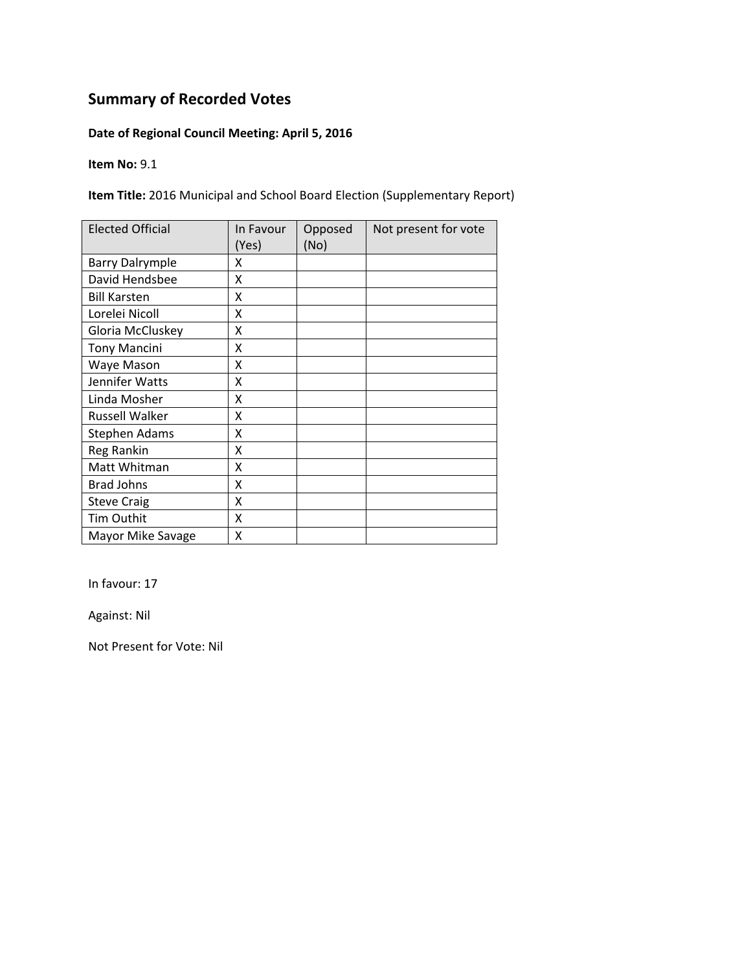#### **Date of Regional Council Meeting: April 5, 2016**

**Item No:** 9.1

**Item Title:** 2016 Municipal and School Board Election (Supplementary Report)

| <b>Elected Official</b> | In Favour<br>(Yes) | Opposed<br>(No) | Not present for vote |
|-------------------------|--------------------|-----------------|----------------------|
| <b>Barry Dalrymple</b>  | x                  |                 |                      |
| David Hendsbee          | Χ                  |                 |                      |
| <b>Bill Karsten</b>     | Χ                  |                 |                      |
| Lorelei Nicoll          | x                  |                 |                      |
| Gloria McCluskey        | X                  |                 |                      |
| <b>Tony Mancini</b>     | Χ                  |                 |                      |
| Waye Mason              | Χ                  |                 |                      |
| Jennifer Watts          | X                  |                 |                      |
| Linda Mosher            | Χ                  |                 |                      |
| Russell Walker          | X                  |                 |                      |
| <b>Stephen Adams</b>    | X                  |                 |                      |
| Reg Rankin              | X                  |                 |                      |
| Matt Whitman            | Χ                  |                 |                      |
| <b>Brad Johns</b>       | X                  |                 |                      |
| <b>Steve Craig</b>      | X                  |                 |                      |
| Tim Outhit              | X                  |                 |                      |
| Mayor Mike Savage       | Χ                  |                 |                      |

In favour: 17

Against: Nil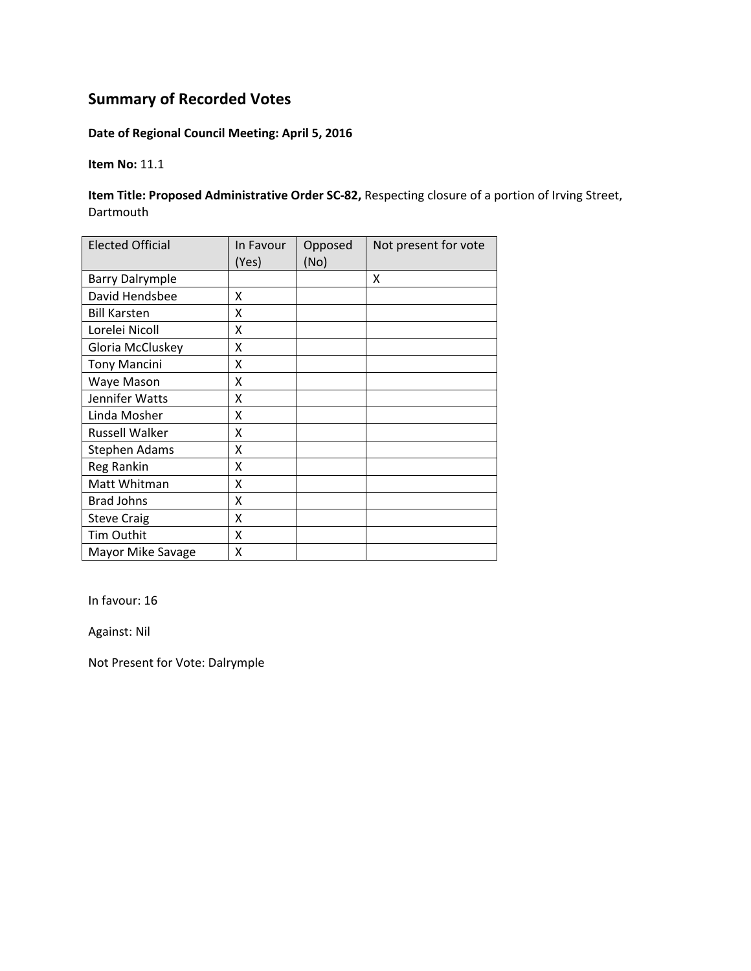#### **Date of Regional Council Meeting: April 5, 2016**

**Item No:** 11.1

**Item Title: Proposed Administrative Order SC‐82,** Respecting closure of a portion of Irving Street, Dartmouth

| <b>Elected Official</b> | In Favour<br>(Yes) | Opposed<br>(No) | Not present for vote |
|-------------------------|--------------------|-----------------|----------------------|
| <b>Barry Dalrymple</b>  |                    |                 | X                    |
| David Hendsbee          | Χ                  |                 |                      |
| <b>Bill Karsten</b>     | Χ                  |                 |                      |
| Lorelei Nicoll          | Χ                  |                 |                      |
| Gloria McCluskey        | X                  |                 |                      |
| <b>Tony Mancini</b>     | X                  |                 |                      |
| Waye Mason              | Χ                  |                 |                      |
| Jennifer Watts          | X                  |                 |                      |
| Linda Mosher            | Χ                  |                 |                      |
| Russell Walker          | χ                  |                 |                      |
| Stephen Adams           | χ                  |                 |                      |
| Reg Rankin              | Χ                  |                 |                      |
| Matt Whitman            | X                  |                 |                      |
| <b>Brad Johns</b>       | Χ                  |                 |                      |
| <b>Steve Craig</b>      | X                  |                 |                      |
| Tim Outhit              | X                  |                 |                      |
| Mayor Mike Savage       | X                  |                 |                      |

In favour: 16

Against: Nil

Not Present for Vote: Dalrymple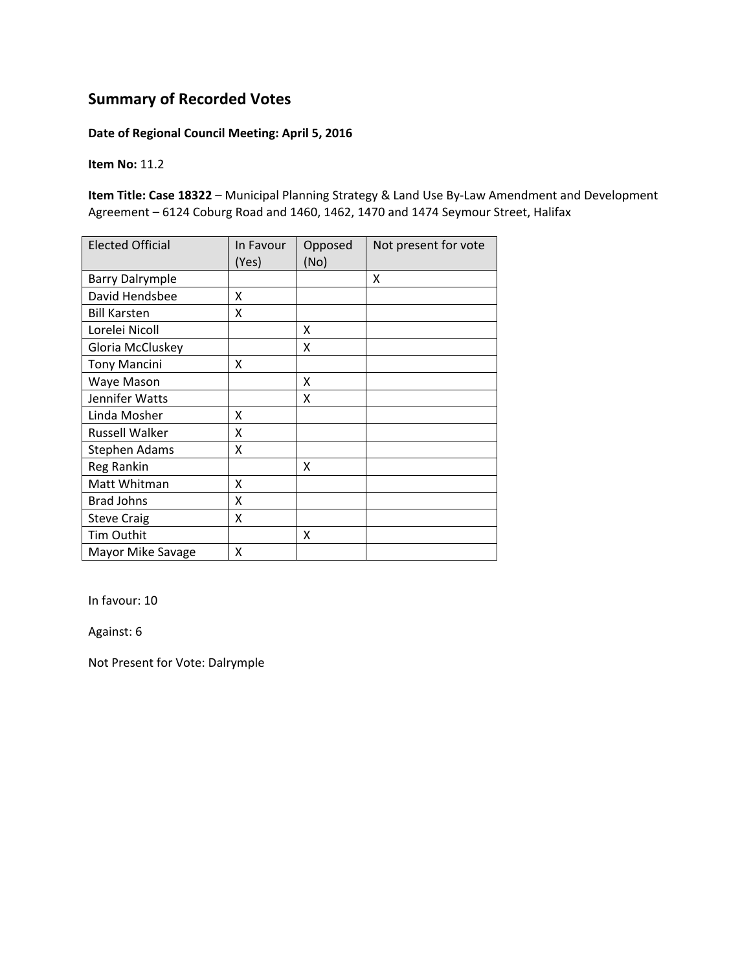#### **Date of Regional Council Meeting: April 5, 2016**

**Item No:** 11.2

**Item Title: Case 18322** – Municipal Planning Strategy & Land Use By‐Law Amendment and Development Agreement – 6124 Coburg Road and 1460, 1462, 1470 and 1474 Seymour Street, Halifax

| <b>Elected Official</b> | In Favour<br>(Yes) | Opposed<br>(No) | Not present for vote |
|-------------------------|--------------------|-----------------|----------------------|
| <b>Barry Dalrymple</b>  |                    |                 | X                    |
| David Hendsbee          | x                  |                 |                      |
| <b>Bill Karsten</b>     | Χ                  |                 |                      |
| Lorelei Nicoll          |                    | x               |                      |
| Gloria McCluskey        |                    | x               |                      |
| <b>Tony Mancini</b>     | x                  |                 |                      |
| Waye Mason              |                    | Χ               |                      |
| Jennifer Watts          |                    | x               |                      |
| Linda Mosher            | X                  |                 |                      |
| <b>Russell Walker</b>   | X                  |                 |                      |
| <b>Stephen Adams</b>    | Χ                  |                 |                      |
| Reg Rankin              |                    | x               |                      |
| Matt Whitman            | X                  |                 |                      |
| <b>Brad Johns</b>       | X                  |                 |                      |
| <b>Steve Craig</b>      | X                  |                 |                      |
| Tim Outhit              |                    | X               |                      |
| Mayor Mike Savage       | X                  |                 |                      |

In favour: 10

Against: 6

Not Present for Vote: Dalrymple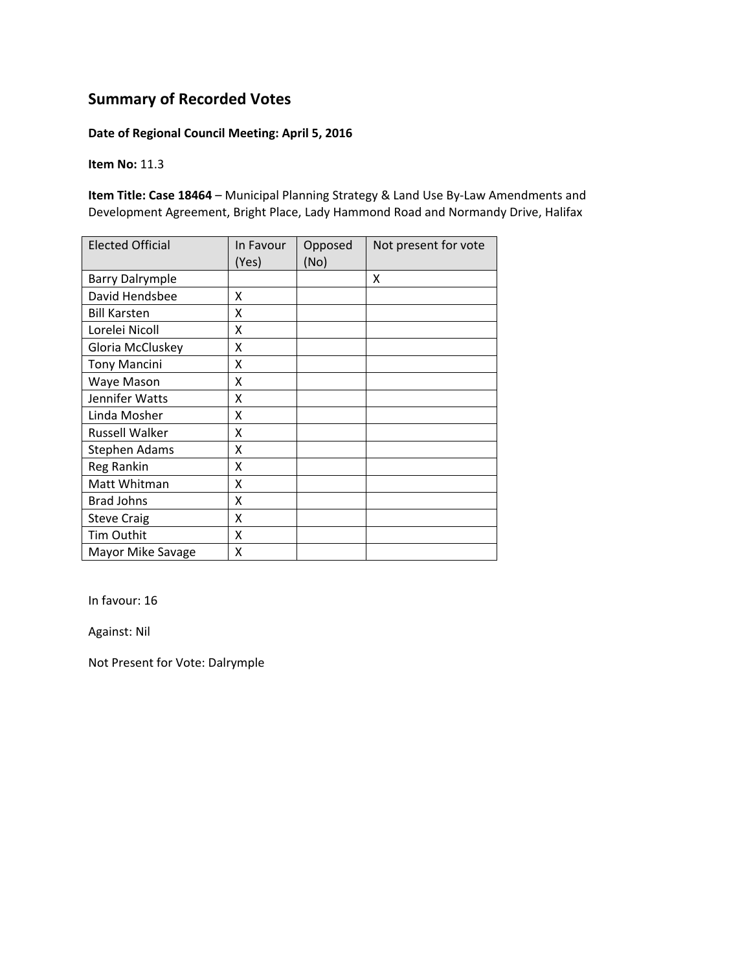#### **Date of Regional Council Meeting: April 5, 2016**

**Item No:** 11.3

**Item Title: Case 18464** – Municipal Planning Strategy & Land Use By‐Law Amendments and Development Agreement, Bright Place, Lady Hammond Road and Normandy Drive, Halifax

| <b>Elected Official</b> | In Favour<br>(Yes) | Opposed<br>(No) | Not present for vote |
|-------------------------|--------------------|-----------------|----------------------|
| <b>Barry Dalrymple</b>  |                    |                 | X                    |
| David Hendsbee          | x                  |                 |                      |
| <b>Bill Karsten</b>     | X                  |                 |                      |
| Lorelei Nicoll          | X                  |                 |                      |
| Gloria McCluskey        | X                  |                 |                      |
| <b>Tony Mancini</b>     | Χ                  |                 |                      |
| Waye Mason              | Χ                  |                 |                      |
| Jennifer Watts          | Χ                  |                 |                      |
| Linda Mosher            | Χ                  |                 |                      |
| <b>Russell Walker</b>   | X                  |                 |                      |
| Stephen Adams           | Χ                  |                 |                      |
| Reg Rankin              | X                  |                 |                      |
| Matt Whitman            | X                  |                 |                      |
| <b>Brad Johns</b>       | X                  |                 |                      |
| <b>Steve Craig</b>      | X                  |                 |                      |
| Tim Outhit              | X                  |                 |                      |
| Mayor Mike Savage       | X                  |                 |                      |

In favour: 16

Against: Nil

Not Present for Vote: Dalrymple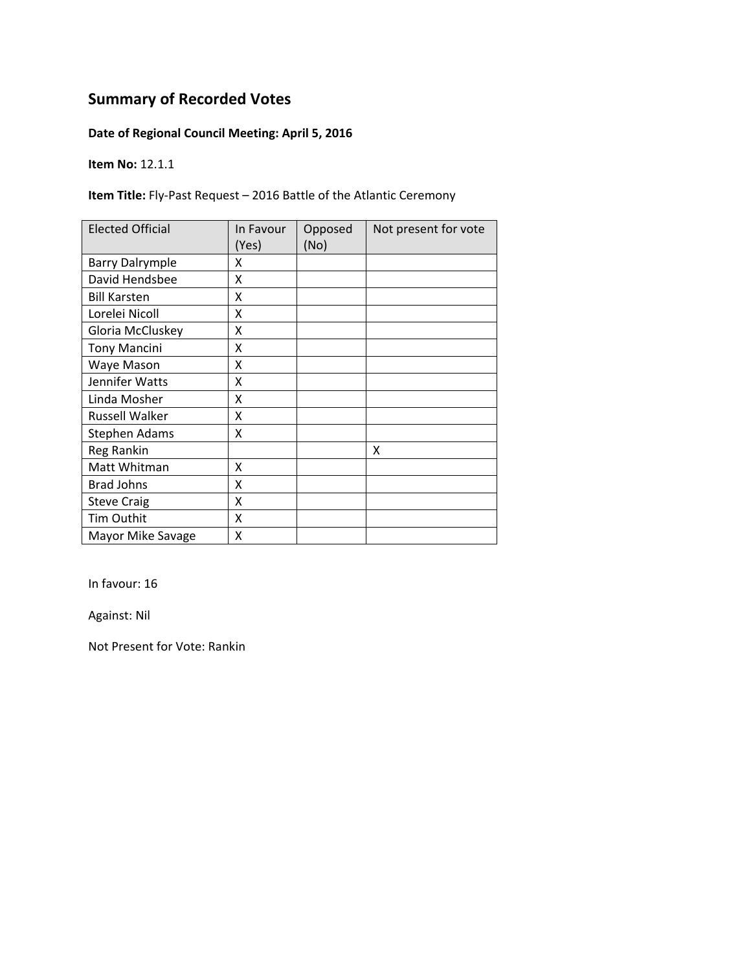#### **Date of Regional Council Meeting: April 5, 2016**

**Item No:** 12.1.1

**Item Title:** Fly‐Past Request – 2016 Battle of the Atlantic Ceremony

| <b>Elected Official</b> | In Favour<br>(Yes) | Opposed<br>(No) | Not present for vote |
|-------------------------|--------------------|-----------------|----------------------|
| <b>Barry Dalrymple</b>  | χ                  |                 |                      |
| David Hendsbee          | X                  |                 |                      |
| <b>Bill Karsten</b>     | Χ                  |                 |                      |
| Lorelei Nicoll          | Χ                  |                 |                      |
| Gloria McCluskey        | χ                  |                 |                      |
| <b>Tony Mancini</b>     | Χ                  |                 |                      |
| Waye Mason              | Χ                  |                 |                      |
| Jennifer Watts          | Χ                  |                 |                      |
| Linda Mosher            | Χ                  |                 |                      |
| <b>Russell Walker</b>   | Χ                  |                 |                      |
| Stephen Adams           | χ                  |                 |                      |
| Reg Rankin              |                    |                 | X                    |
| Matt Whitman            | Χ                  |                 |                      |
| <b>Brad Johns</b>       | X                  |                 |                      |
| <b>Steve Craig</b>      | X                  |                 |                      |
| Tim Outhit              | Χ                  |                 |                      |
| Mayor Mike Savage       | Χ                  |                 |                      |

In favour: 16

Against: Nil

Not Present for Vote: Rankin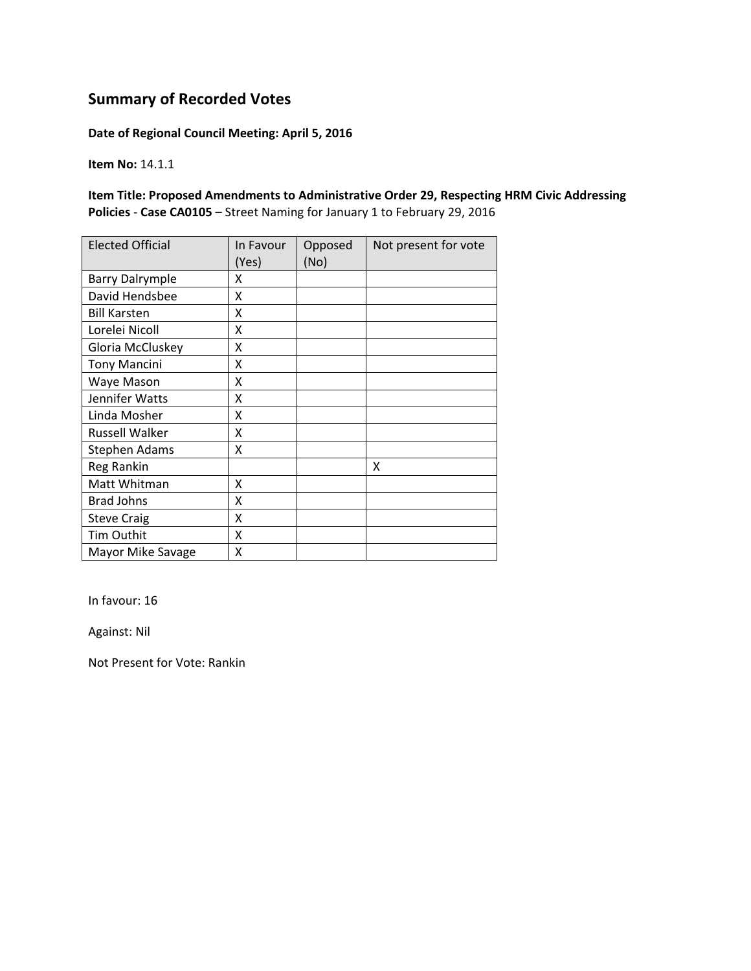**Date of Regional Council Meeting: April 5, 2016**

**Item No:** 14.1.1

**Item Title: Proposed Amendments to Administrative Order 29, Respecting HRM Civic Addressing Policies** ‐ **Case CA0105** – Street Naming for January 1 to February 29, 2016

| <b>Elected Official</b> | In Favour<br>(Yes) | Opposed<br>(No) | Not present for vote |
|-------------------------|--------------------|-----------------|----------------------|
| <b>Barry Dalrymple</b>  | x                  |                 |                      |
| David Hendsbee          | x                  |                 |                      |
| <b>Bill Karsten</b>     | Χ                  |                 |                      |
| Lorelei Nicoll          | Χ                  |                 |                      |
| Gloria McCluskey        | X                  |                 |                      |
| <b>Tony Mancini</b>     | Χ                  |                 |                      |
| Waye Mason              | Χ                  |                 |                      |
| Jennifer Watts          | Χ                  |                 |                      |
| Linda Mosher            | Χ                  |                 |                      |
| <b>Russell Walker</b>   | X                  |                 |                      |
| Stephen Adams           | Χ                  |                 |                      |
| Reg Rankin              |                    |                 | X                    |
| Matt Whitman            | X                  |                 |                      |
| <b>Brad Johns</b>       | X                  |                 |                      |
| <b>Steve Craig</b>      | X                  |                 |                      |
| Tim Outhit              | X                  |                 |                      |
| Mayor Mike Savage       | X                  |                 |                      |

In favour: 16

Against: Nil

Not Present for Vote: Rankin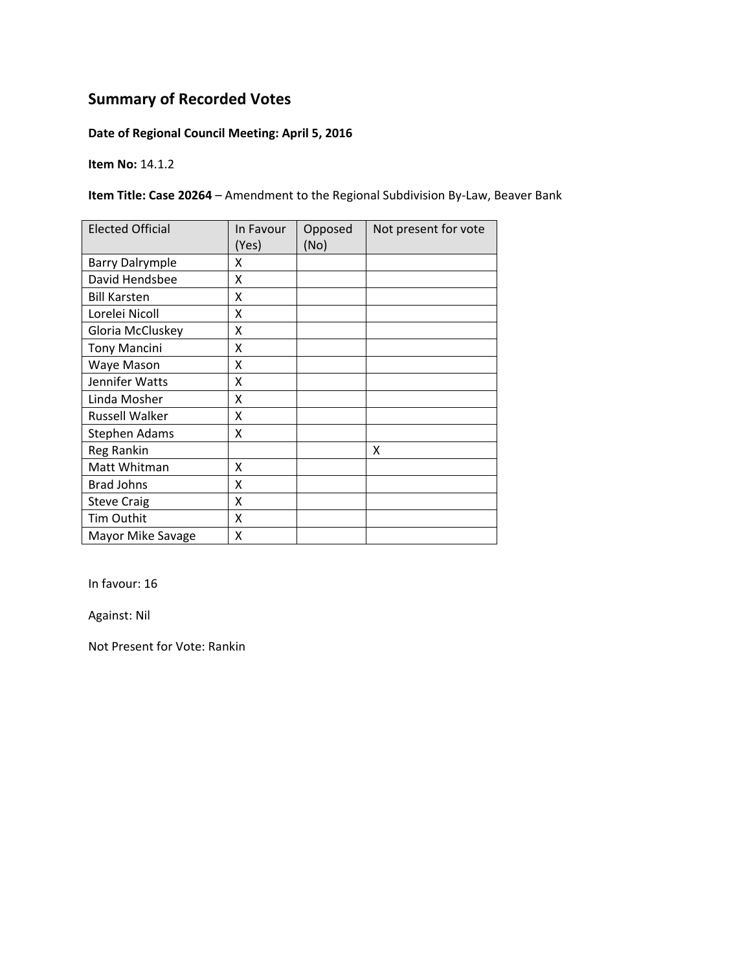#### **Date of Regional Council Meeting: April 5, 2016**

**Item No:** 14.1.2

**Item Title: Case 20264** – Amendment to the Regional Subdivision By‐Law, Beaver Bank

| <b>Elected Official</b> | In Favour<br>(Yes) | Opposed<br>(No) | Not present for vote |
|-------------------------|--------------------|-----------------|----------------------|
| <b>Barry Dalrymple</b>  | x                  |                 |                      |
| David Hendsbee          | X                  |                 |                      |
| <b>Bill Karsten</b>     | X                  |                 |                      |
| Lorelei Nicoll          | X                  |                 |                      |
| Gloria McCluskey        | Χ                  |                 |                      |
| <b>Tony Mancini</b>     | Χ                  |                 |                      |
| Waye Mason              | X                  |                 |                      |
| Jennifer Watts          | X                  |                 |                      |
| Linda Mosher            | x                  |                 |                      |
| Russell Walker          | X                  |                 |                      |
| <b>Stephen Adams</b>    | X                  |                 |                      |
| Reg Rankin              |                    |                 | X                    |
| Matt Whitman            | x                  |                 |                      |
| <b>Brad Johns</b>       | X                  |                 |                      |
| <b>Steve Craig</b>      | X                  |                 |                      |
| <b>Tim Outhit</b>       | X                  |                 |                      |
| Mayor Mike Savage       | Χ                  |                 |                      |

In favour: 16

Against: Nil

Not Present for Vote: Rankin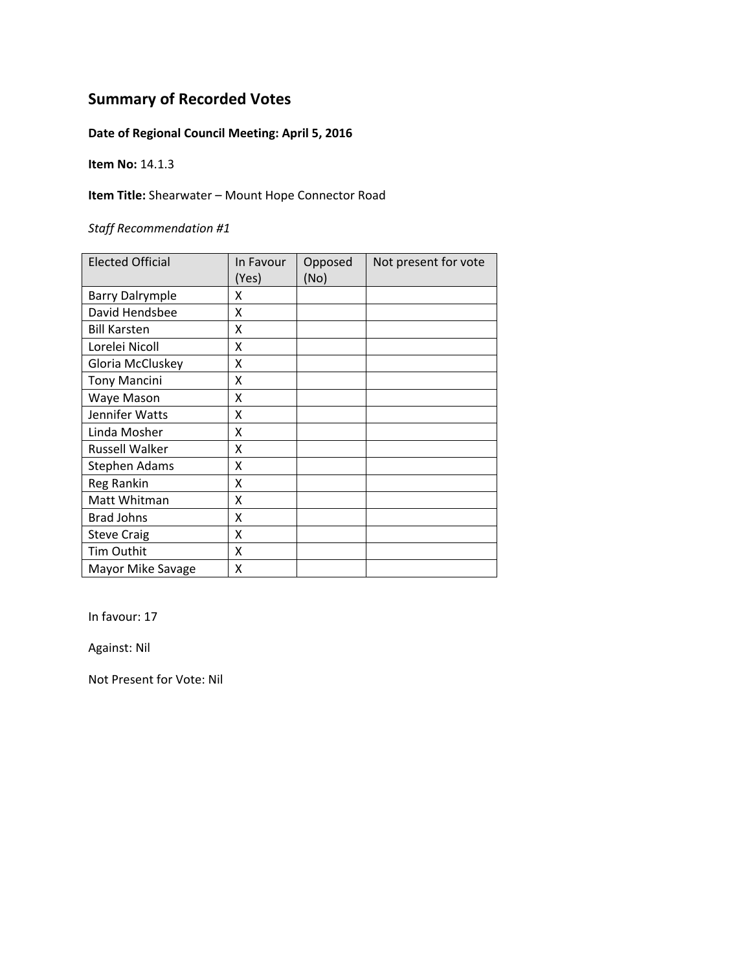#### **Date of Regional Council Meeting: April 5, 2016**

**Item No:** 14.1.3

**Item Title:** Shearwater – Mount Hope Connector Road

*Staff Recommendation #1*

| <b>Elected Official</b> | In Favour | Opposed | Not present for vote |
|-------------------------|-----------|---------|----------------------|
|                         | (Yes)     | (No)    |                      |
| <b>Barry Dalrymple</b>  | x         |         |                      |
| David Hendsbee          | Χ         |         |                      |
| <b>Bill Karsten</b>     | X         |         |                      |
| Lorelei Nicoll          | Χ         |         |                      |
| Gloria McCluskey        | x         |         |                      |
| <b>Tony Mancini</b>     | Χ         |         |                      |
| Waye Mason              | x         |         |                      |
| Jennifer Watts          | X         |         |                      |
| Linda Mosher            | X         |         |                      |
| <b>Russell Walker</b>   | X         |         |                      |
| <b>Stephen Adams</b>    | X         |         |                      |
| Reg Rankin              | X         |         |                      |
| Matt Whitman            | X         |         |                      |
| <b>Brad Johns</b>       | X         |         |                      |
| <b>Steve Craig</b>      | X         |         |                      |
| Tim Outhit              | X         |         |                      |
| Mayor Mike Savage       | Χ         |         |                      |

In favour: 17

Against: Nil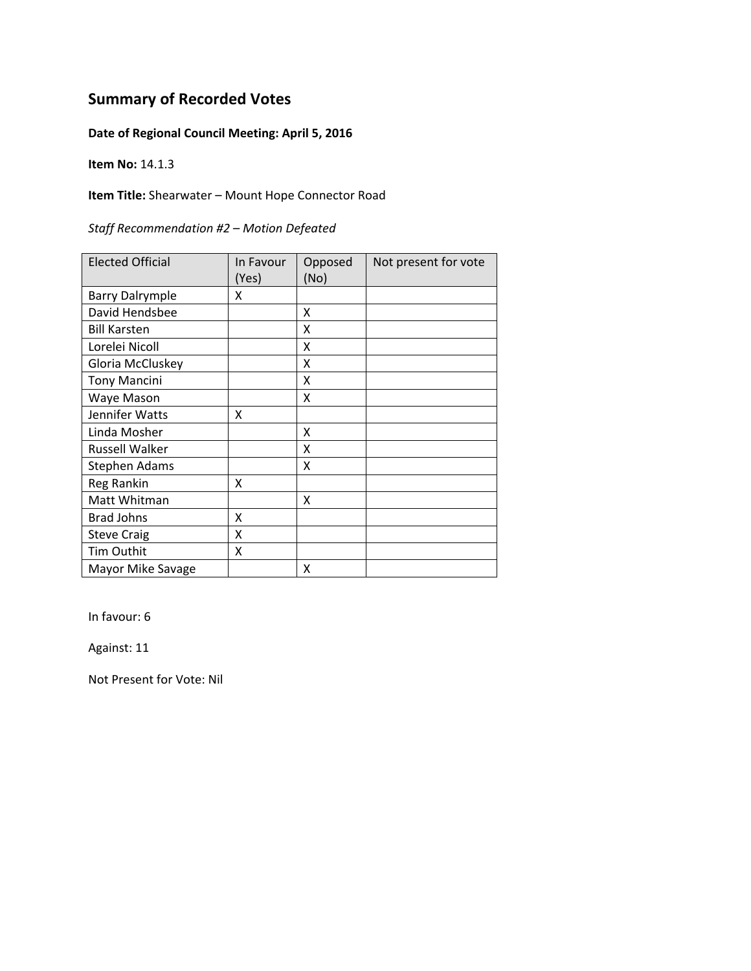#### **Date of Regional Council Meeting: April 5, 2016**

**Item No:** 14.1.3

#### **Item Title:** Shearwater – Mount Hope Connector Road

| Staff Recommendation #2 - Motion Defeated |  |
|-------------------------------------------|--|
|-------------------------------------------|--|

| <b>Elected Official</b> | In Favour<br>(Yes) | Opposed<br>(No) | Not present for vote |
|-------------------------|--------------------|-----------------|----------------------|
| <b>Barry Dalrymple</b>  | x                  |                 |                      |
| David Hendsbee          |                    | X               |                      |
| <b>Bill Karsten</b>     |                    | x               |                      |
| Lorelei Nicoll          |                    | x               |                      |
| Gloria McCluskey        |                    | x               |                      |
| <b>Tony Mancini</b>     |                    | x               |                      |
| Waye Mason              |                    | x               |                      |
| Jennifer Watts          | Χ                  |                 |                      |
| Linda Mosher            |                    | X               |                      |
| <b>Russell Walker</b>   |                    | Χ               |                      |
| Stephen Adams           |                    | X               |                      |
| Reg Rankin              | X                  |                 |                      |
| Matt Whitman            |                    | X               |                      |
| <b>Brad Johns</b>       | X                  |                 |                      |
| <b>Steve Craig</b>      | X                  |                 |                      |
| Tim Outhit              | X                  |                 |                      |
| Mayor Mike Savage       |                    | x               |                      |

In favour: 6

Against: 11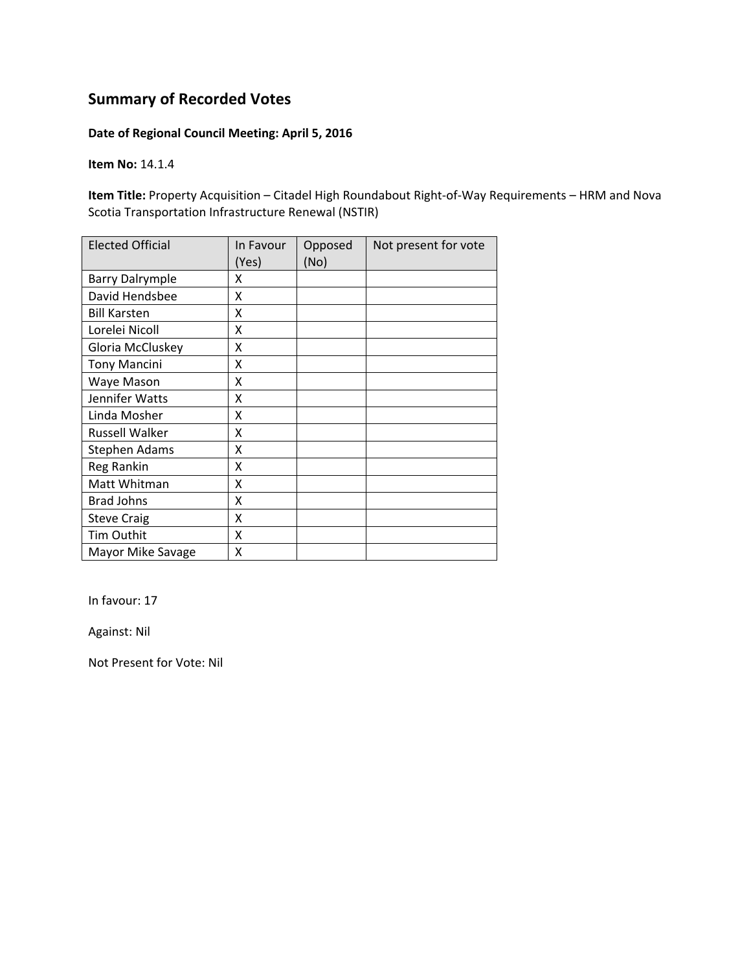#### **Date of Regional Council Meeting: April 5, 2016**

**Item No:** 14.1.4

**Item Title:** Property Acquisition – Citadel High Roundabout Right‐of‐Way Requirements – HRM and Nova Scotia Transportation Infrastructure Renewal (NSTIR)

| <b>Elected Official</b> | In Favour<br>(Yes) | Opposed<br>(No) | Not present for vote |
|-------------------------|--------------------|-----------------|----------------------|
| <b>Barry Dalrymple</b>  | x                  |                 |                      |
| David Hendsbee          | Χ                  |                 |                      |
| <b>Bill Karsten</b>     | Χ                  |                 |                      |
| Lorelei Nicoll          | X                  |                 |                      |
| Gloria McCluskey        | X                  |                 |                      |
| <b>Tony Mancini</b>     | X                  |                 |                      |
| Waye Mason              | Χ                  |                 |                      |
| Jennifer Watts          | X                  |                 |                      |
| Linda Mosher            | Χ                  |                 |                      |
| Russell Walker          | χ                  |                 |                      |
| <b>Stephen Adams</b>    | χ                  |                 |                      |
| Reg Rankin              | Χ                  |                 |                      |
| Matt Whitman            | X                  |                 |                      |
| <b>Brad Johns</b>       | Χ                  |                 |                      |
| <b>Steve Craig</b>      | X                  |                 |                      |
| Tim Outhit              | X                  |                 |                      |
| Mayor Mike Savage       | X                  |                 |                      |

In favour: 17

Against: Nil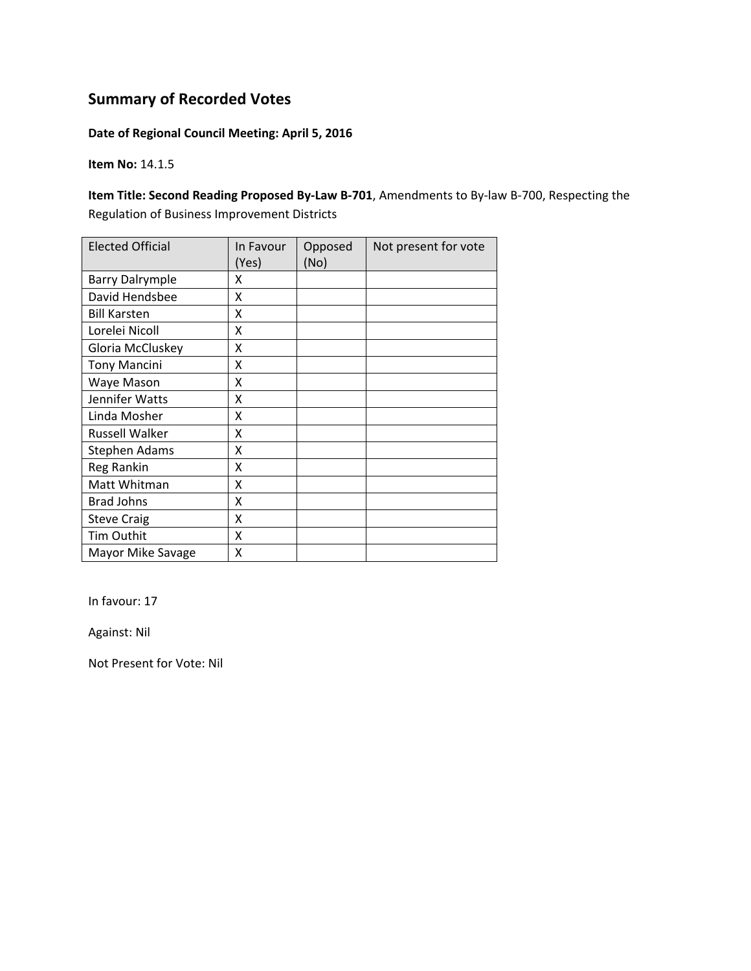#### **Date of Regional Council Meeting: April 5, 2016**

**Item No:** 14.1.5

**Item Title: Second Reading Proposed By‐Law B‐701**, Amendments to By‐law B‐700, Respecting the Regulation of Business Improvement Districts

| <b>Elected Official</b> | In Favour<br>(Yes) | Opposed<br>(No) | Not present for vote |
|-------------------------|--------------------|-----------------|----------------------|
| <b>Barry Dalrymple</b>  | Χ                  |                 |                      |
| David Hendsbee          | Χ                  |                 |                      |
| <b>Bill Karsten</b>     | X                  |                 |                      |
| Lorelei Nicoll          | X                  |                 |                      |
| Gloria McCluskey        | X                  |                 |                      |
| <b>Tony Mancini</b>     | X                  |                 |                      |
| Waye Mason              | X                  |                 |                      |
| Jennifer Watts          | X                  |                 |                      |
| Linda Mosher            | X                  |                 |                      |
| <b>Russell Walker</b>   | X                  |                 |                      |
| Stephen Adams           | X                  |                 |                      |
| Reg Rankin              | x                  |                 |                      |
| Matt Whitman            | X                  |                 |                      |
| <b>Brad Johns</b>       | X                  |                 |                      |
| <b>Steve Craig</b>      | X                  |                 |                      |
| Tim Outhit              | X                  |                 |                      |
| Mayor Mike Savage       | Χ                  |                 |                      |

In favour: 17

Against: Nil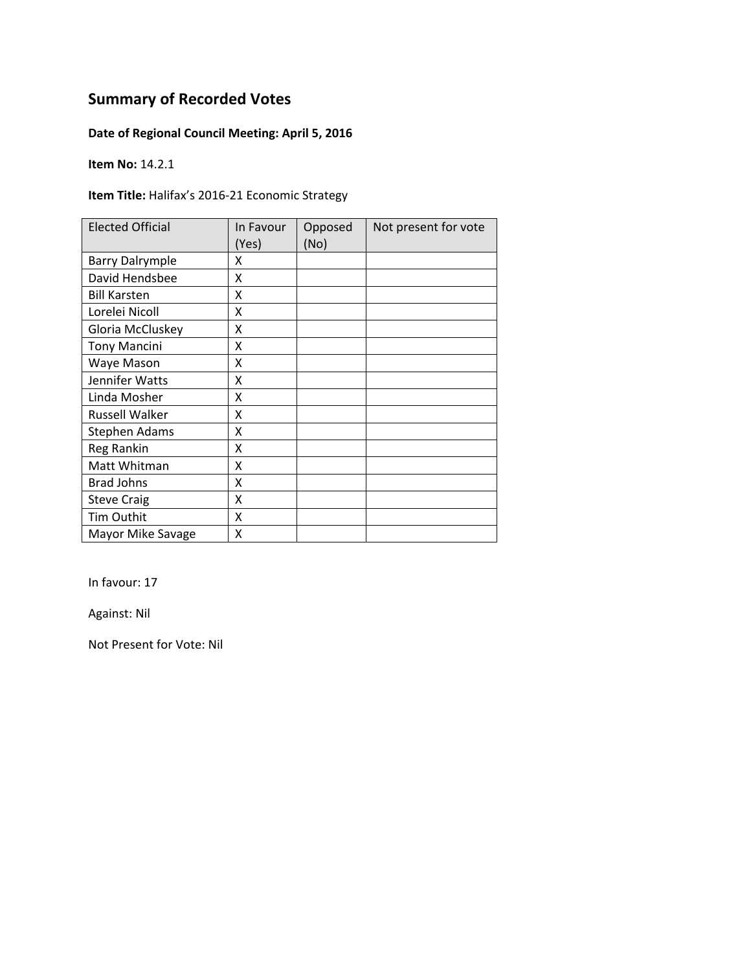#### **Date of Regional Council Meeting: April 5, 2016**

**Item No:** 14.2.1

**Item Title:** Halifax's 2016‐21 Economic Strategy

| <b>Elected Official</b> | In Favour<br>(Yes) | Opposed<br>(No) | Not present for vote |
|-------------------------|--------------------|-----------------|----------------------|
| <b>Barry Dalrymple</b>  | x                  |                 |                      |
| David Hendsbee          | X                  |                 |                      |
| <b>Bill Karsten</b>     | X                  |                 |                      |
| Lorelei Nicoll          | X                  |                 |                      |
| Gloria McCluskey        | Χ                  |                 |                      |
| <b>Tony Mancini</b>     | Χ                  |                 |                      |
| Waye Mason              | Χ                  |                 |                      |
| Jennifer Watts          | Χ                  |                 |                      |
| Linda Mosher            | Χ                  |                 |                      |
| <b>Russell Walker</b>   | x                  |                 |                      |
| <b>Stephen Adams</b>    | Χ                  |                 |                      |
| Reg Rankin              | X                  |                 |                      |
| Matt Whitman            | Χ                  |                 |                      |
| <b>Brad Johns</b>       | X                  |                 |                      |
| <b>Steve Craig</b>      | Χ                  |                 |                      |
| Tim Outhit              | X                  |                 |                      |
| Mayor Mike Savage       | Χ                  |                 |                      |

In favour: 17

Against: Nil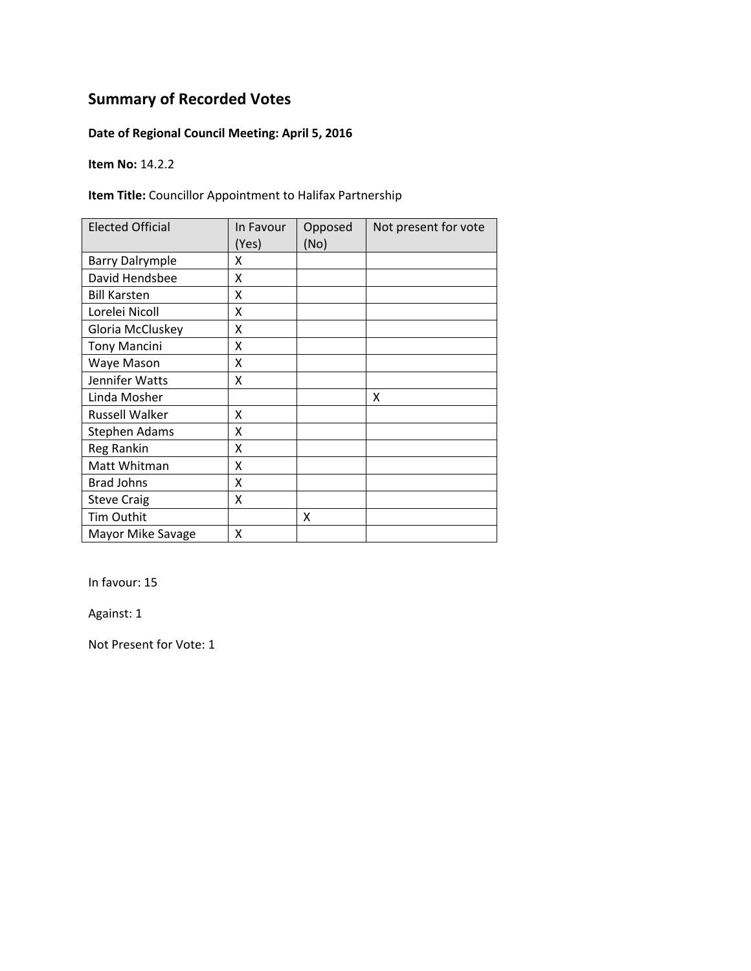#### **Date of Regional Council Meeting: April 5, 2016**

**Item No:** 14.2.2

#### **Item Title:** Councillor Appointment to Halifax Partnership

| <b>Elected Official</b> | In Favour<br>(Yes) | Opposed<br>(No) | Not present for vote |
|-------------------------|--------------------|-----------------|----------------------|
| <b>Barry Dalrymple</b>  | x                  |                 |                      |
| David Hendsbee          | X                  |                 |                      |
| <b>Bill Karsten</b>     | X                  |                 |                      |
| Lorelei Nicoll          | X                  |                 |                      |
| Gloria McCluskey        | X                  |                 |                      |
| <b>Tony Mancini</b>     | X                  |                 |                      |
| Waye Mason              | Χ                  |                 |                      |
| Jennifer Watts          | X                  |                 |                      |
| Linda Mosher            |                    |                 | x                    |
| Russell Walker          | X                  |                 |                      |
| <b>Stephen Adams</b>    | Χ                  |                 |                      |
| Reg Rankin              | χ                  |                 |                      |
| Matt Whitman            | X                  |                 |                      |
| <b>Brad Johns</b>       | Χ                  |                 |                      |
| <b>Steve Craig</b>      | Χ                  |                 |                      |
| Tim Outhit              |                    | X               |                      |
| Mayor Mike Savage       | Χ                  |                 |                      |

In favour: 15

Against: 1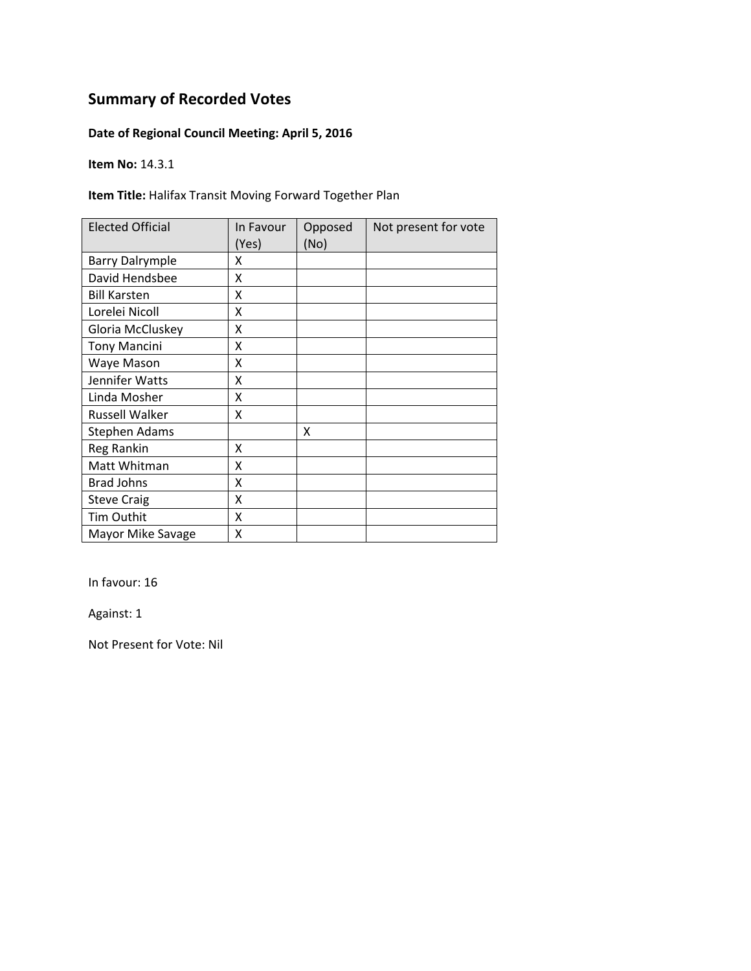#### **Date of Regional Council Meeting: April 5, 2016**

**Item No:** 14.3.1

**Item Title:** Halifax Transit Moving Forward Together Plan

| <b>Elected Official</b> | In Favour<br>(Yes) | Opposed<br>(No) | Not present for vote |
|-------------------------|--------------------|-----------------|----------------------|
| <b>Barry Dalrymple</b>  | x                  |                 |                      |
| David Hendsbee          | x                  |                 |                      |
| <b>Bill Karsten</b>     | x                  |                 |                      |
| Lorelei Nicoll          | X                  |                 |                      |
| Gloria McCluskey        | X                  |                 |                      |
| <b>Tony Mancini</b>     | Χ                  |                 |                      |
| Waye Mason              | Χ                  |                 |                      |
| Jennifer Watts          | x                  |                 |                      |
| Linda Mosher            | x                  |                 |                      |
| <b>Russell Walker</b>   | x                  |                 |                      |
| Stephen Adams           |                    | x               |                      |
| Reg Rankin              | X                  |                 |                      |
| Matt Whitman            | X                  |                 |                      |
| <b>Brad Johns</b>       | X                  |                 |                      |
| <b>Steve Craig</b>      | Χ                  |                 |                      |
| <b>Tim Outhit</b>       | X                  |                 |                      |
| Mayor Mike Savage       | Χ                  |                 |                      |

In favour: 16

Against: 1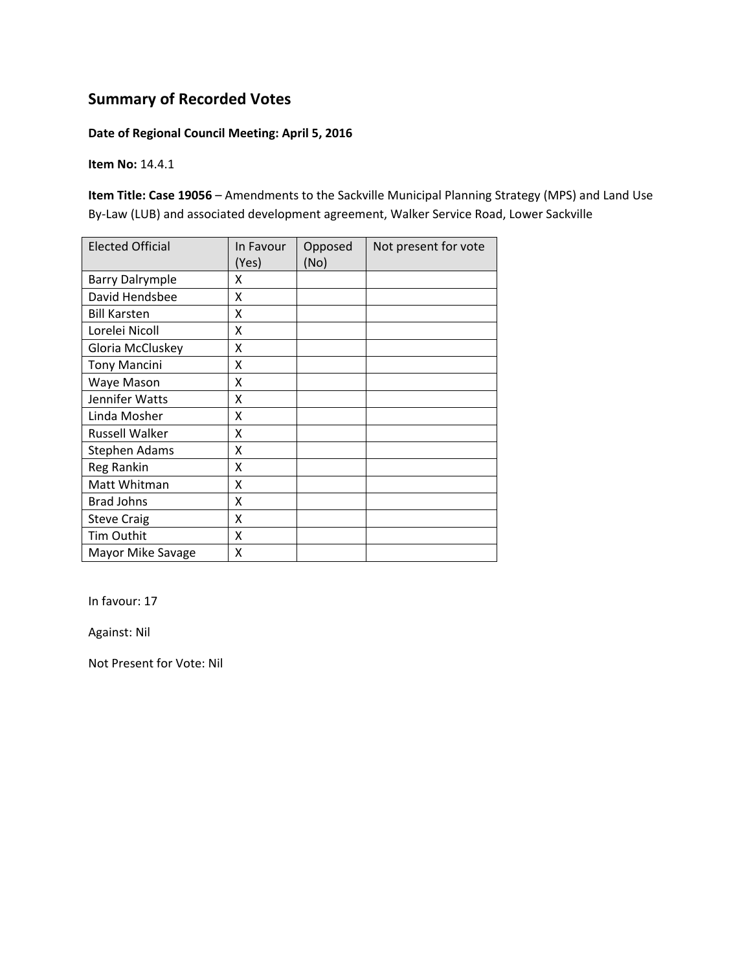#### **Date of Regional Council Meeting: April 5, 2016**

**Item No:** 14.4.1

**Item Title: Case 19056** – Amendments to the Sackville Municipal Planning Strategy (MPS) and Land Use By-Law (LUB) and associated development agreement, Walker Service Road, Lower Sackville

| <b>Elected Official</b> | In Favour<br>(Yes) | Opposed<br>(No) | Not present for vote |
|-------------------------|--------------------|-----------------|----------------------|
| <b>Barry Dalrymple</b>  | x                  |                 |                      |
| David Hendsbee          | X                  |                 |                      |
| <b>Bill Karsten</b>     | Χ                  |                 |                      |
| Lorelei Nicoll          | X                  |                 |                      |
| Gloria McCluskey        | Χ                  |                 |                      |
| <b>Tony Mancini</b>     | X                  |                 |                      |
| Waye Mason              | X                  |                 |                      |
| Jennifer Watts          | Χ                  |                 |                      |
| Linda Mosher            | X                  |                 |                      |
| <b>Russell Walker</b>   | X                  |                 |                      |
| <b>Stephen Adams</b>    | X                  |                 |                      |
| Reg Rankin              | X                  |                 |                      |
| Matt Whitman            | x                  |                 |                      |
| <b>Brad Johns</b>       | X                  |                 |                      |
| <b>Steve Craig</b>      | X                  |                 |                      |
| Tim Outhit              | X                  |                 |                      |
| Mayor Mike Savage       | Χ                  |                 |                      |

In favour: 17

Against: Nil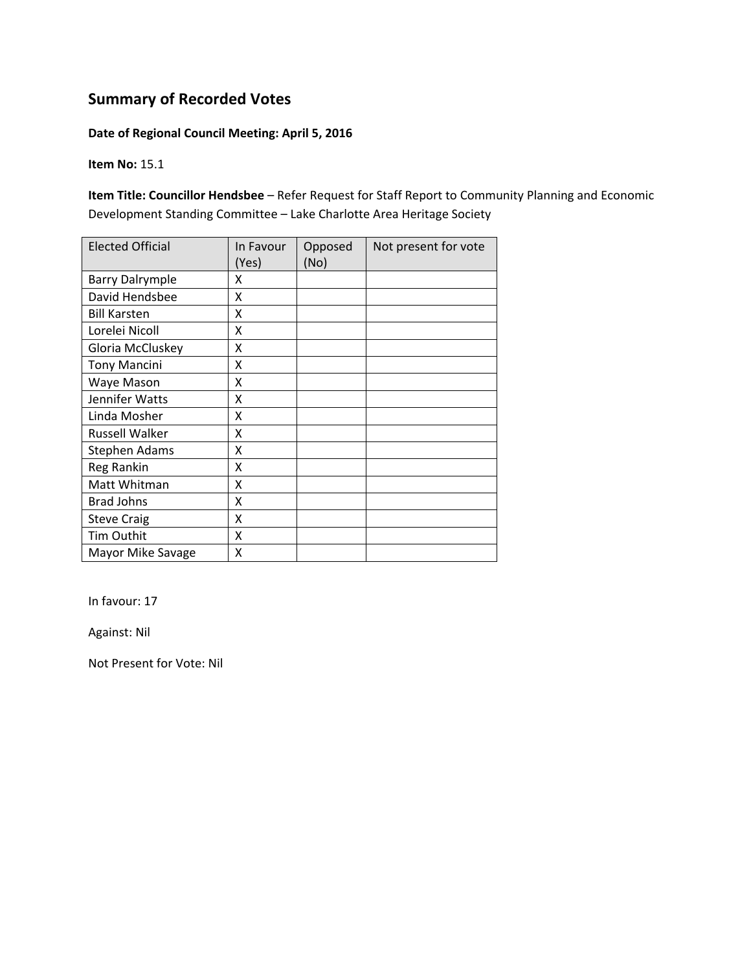#### **Date of Regional Council Meeting: April 5, 2016**

**Item No:** 15.1

**Item Title: Councillor Hendsbee** – Refer Request for Staff Report to Community Planning and Economic Development Standing Committee – Lake Charlotte Area Heritage Society

| <b>Elected Official</b> | In Favour<br>(Yes) | Opposed<br>(No) | Not present for vote |
|-------------------------|--------------------|-----------------|----------------------|
| <b>Barry Dalrymple</b>  | X                  |                 |                      |
| David Hendsbee          | Χ                  |                 |                      |
| <b>Bill Karsten</b>     | X                  |                 |                      |
| Lorelei Nicoll          | X                  |                 |                      |
| Gloria McCluskey        | X                  |                 |                      |
| <b>Tony Mancini</b>     | Χ                  |                 |                      |
| Waye Mason              | X                  |                 |                      |
| Jennifer Watts          | X                  |                 |                      |
| Linda Mosher            | X                  |                 |                      |
| <b>Russell Walker</b>   | Χ                  |                 |                      |
| Stephen Adams           | X                  |                 |                      |
| Reg Rankin              | Χ                  |                 |                      |
| Matt Whitman            | Χ                  |                 |                      |
| <b>Brad Johns</b>       | Χ                  |                 |                      |
| <b>Steve Craig</b>      | Χ                  |                 |                      |
| Tim Outhit              | X                  |                 |                      |
| Mayor Mike Savage       | X                  |                 |                      |

In favour: 17

Against: Nil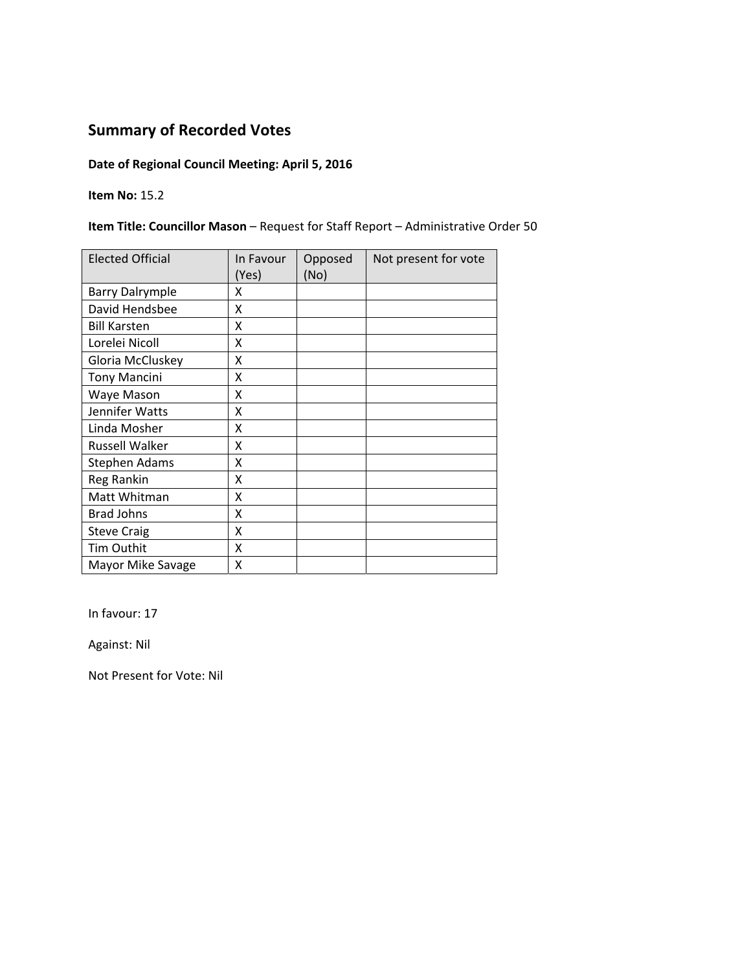### **Date of Regional Council Meeting: April 5, 2016**

**Item No:** 15.2

#### **Item Title: Councillor Mason** – Request for Staff Report – Administrative Order 50

| <b>Elected Official</b> | In Favour<br>(Yes) | Opposed<br>(No) | Not present for vote |
|-------------------------|--------------------|-----------------|----------------------|
| <b>Barry Dalrymple</b>  | Χ                  |                 |                      |
| David Hendsbee          | X                  |                 |                      |
| <b>Bill Karsten</b>     | X                  |                 |                      |
| Lorelei Nicoll          | X                  |                 |                      |
| Gloria McCluskey        | X                  |                 |                      |
| <b>Tony Mancini</b>     | X                  |                 |                      |
| Waye Mason              | Χ                  |                 |                      |
| Jennifer Watts          | X                  |                 |                      |
| Linda Mosher            | x                  |                 |                      |
| <b>Russell Walker</b>   | X                  |                 |                      |
| Stephen Adams           | X                  |                 |                      |
| Reg Rankin              | X                  |                 |                      |
| Matt Whitman            | X                  |                 |                      |
| <b>Brad Johns</b>       | X                  |                 |                      |
| <b>Steve Craig</b>      | Χ                  |                 |                      |
| Tim Outhit              | X                  |                 |                      |
| Mayor Mike Savage       | X                  |                 |                      |

In favour: 17

Against: Nil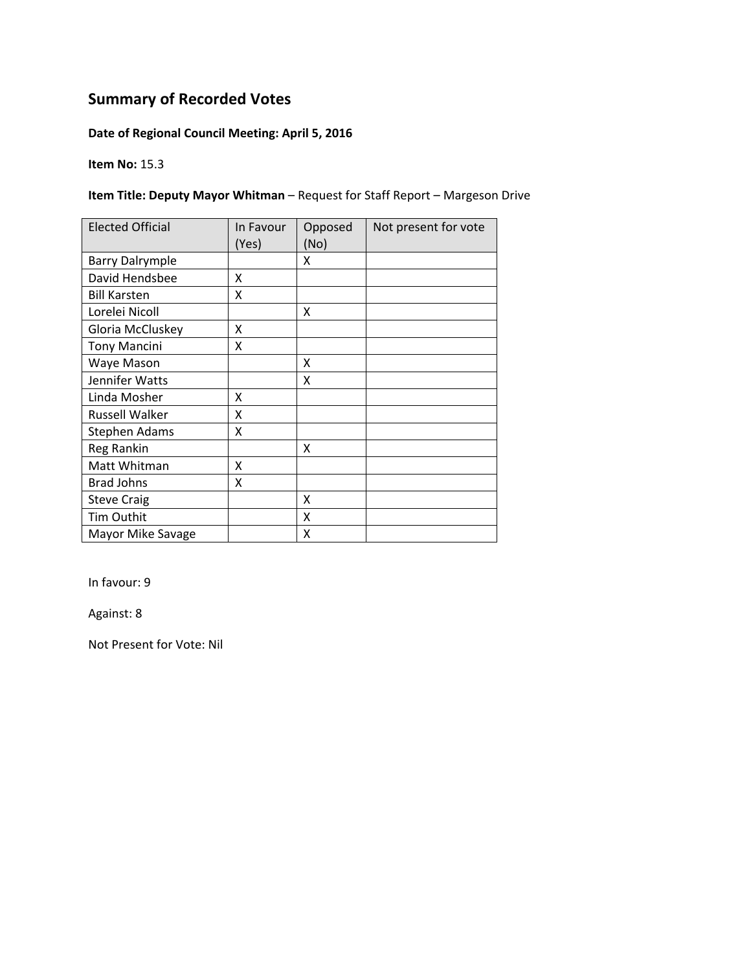#### **Date of Regional Council Meeting: April 5, 2016**

**Item No:** 15.3

#### **Item Title: Deputy Mayor Whitman** – Request for Staff Report – Margeson Drive

| <b>Elected Official</b> | In Favour<br>(Yes) | Opposed<br>(No) | Not present for vote |
|-------------------------|--------------------|-----------------|----------------------|
| <b>Barry Dalrymple</b>  |                    | X               |                      |
| David Hendsbee          | X                  |                 |                      |
| <b>Bill Karsten</b>     | X                  |                 |                      |
| Lorelei Nicoll          |                    | x               |                      |
| Gloria McCluskey        | x                  |                 |                      |
| <b>Tony Mancini</b>     | X                  |                 |                      |
| Waye Mason              |                    | x               |                      |
| Jennifer Watts          |                    | x               |                      |
| Linda Mosher            | x                  |                 |                      |
| <b>Russell Walker</b>   | x                  |                 |                      |
| <b>Stephen Adams</b>    | X                  |                 |                      |
| Reg Rankin              |                    | x               |                      |
| Matt Whitman            | X                  |                 |                      |
| <b>Brad Johns</b>       | X                  |                 |                      |
| <b>Steve Craig</b>      |                    | x               |                      |
| Tim Outhit              |                    | X               |                      |
| Mayor Mike Savage       |                    | x               |                      |

In favour: 9

Against: 8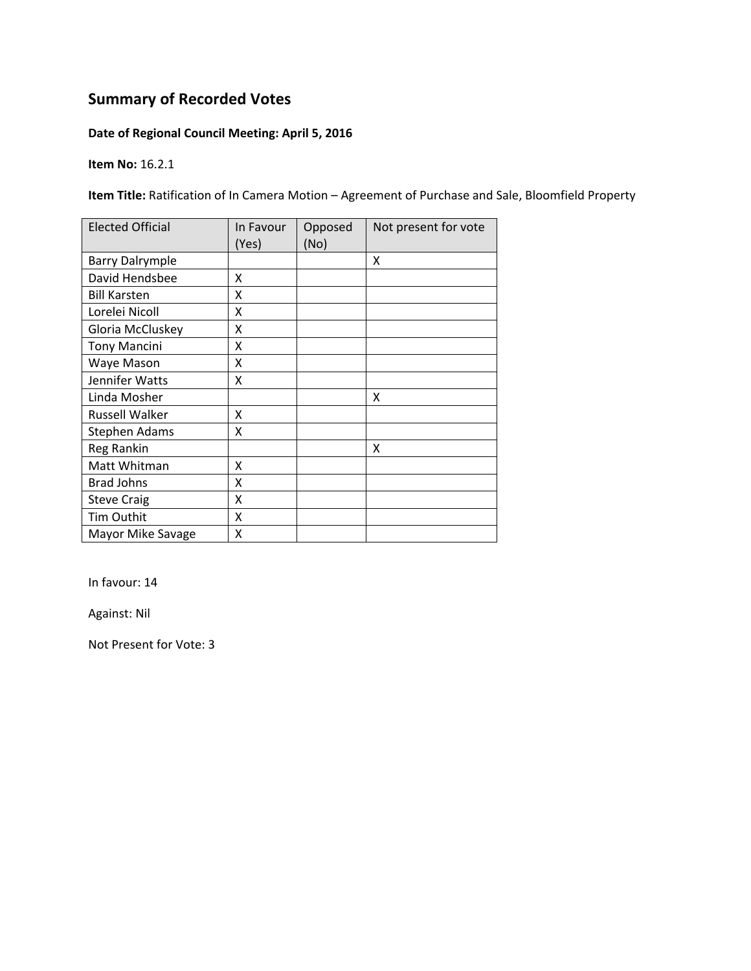#### **Date of Regional Council Meeting: April 5, 2016**

**Item No:** 16.2.1

**Item Title:** Ratification of In Camera Motion – Agreement of Purchase and Sale, Bloomfield Property

| <b>Elected Official</b> | In Favour<br>(Yes) | Opposed<br>(No) | Not present for vote |
|-------------------------|--------------------|-----------------|----------------------|
| <b>Barry Dalrymple</b>  |                    |                 | X                    |
| David Hendsbee          | x                  |                 |                      |
| <b>Bill Karsten</b>     | x                  |                 |                      |
| Lorelei Nicoll          | X                  |                 |                      |
| Gloria McCluskey        | Χ                  |                 |                      |
| <b>Tony Mancini</b>     | Χ                  |                 |                      |
| Waye Mason              | Χ                  |                 |                      |
| Jennifer Watts          | x                  |                 |                      |
| Linda Mosher            |                    |                 | x                    |
| <b>Russell Walker</b>   | Χ                  |                 |                      |
| <b>Stephen Adams</b>    | X                  |                 |                      |
| Reg Rankin              |                    |                 | X                    |
| Matt Whitman            | X                  |                 |                      |
| <b>Brad Johns</b>       | X                  |                 |                      |
| <b>Steve Craig</b>      | X                  |                 |                      |
| Tim Outhit              | Χ                  |                 |                      |
| Mayor Mike Savage       | Χ                  |                 |                      |

In favour: 14

Against: Nil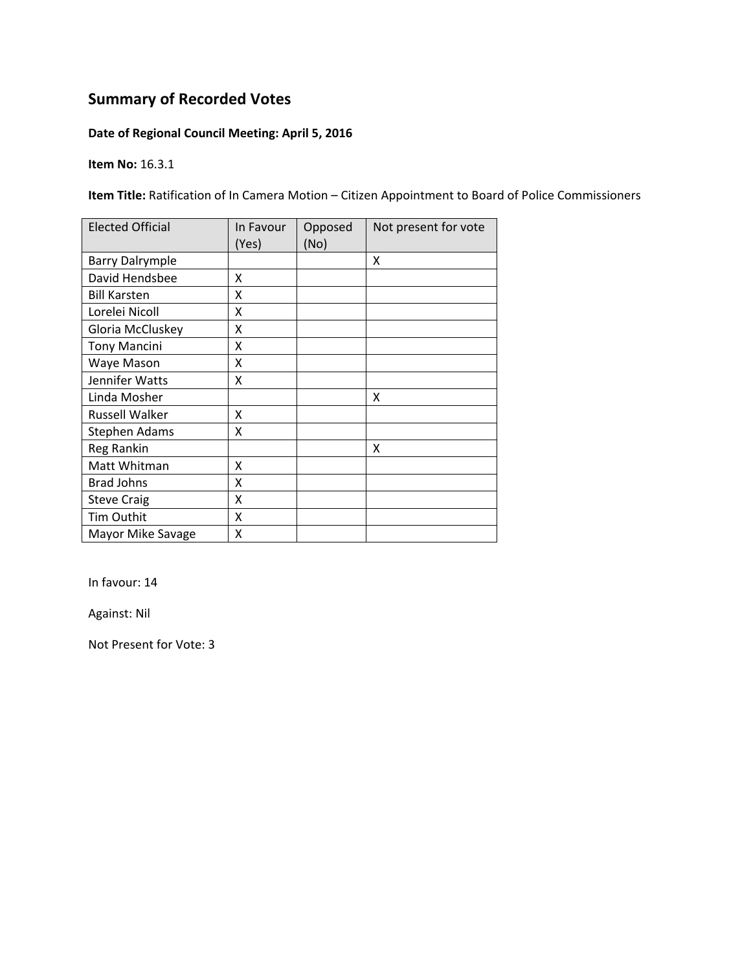#### **Date of Regional Council Meeting: April 5, 2016**

**Item No:** 16.3.1

**Item Title:** Ratification of In Camera Motion – Citizen Appointment to Board of Police Commissioners

| <b>Elected Official</b> | In Favour<br>(Yes) | Opposed<br>(No) | Not present for vote |
|-------------------------|--------------------|-----------------|----------------------|
| <b>Barry Dalrymple</b>  |                    |                 | X                    |
| David Hendsbee          | Χ                  |                 |                      |
| <b>Bill Karsten</b>     | X                  |                 |                      |
| Lorelei Nicoll          | X                  |                 |                      |
| Gloria McCluskey        | Χ                  |                 |                      |
| <b>Tony Mancini</b>     | Χ                  |                 |                      |
| Waye Mason              | x                  |                 |                      |
| Jennifer Watts          | x                  |                 |                      |
| Linda Mosher            |                    |                 | X                    |
| <b>Russell Walker</b>   | X                  |                 |                      |
| <b>Stephen Adams</b>    | X                  |                 |                      |
| Reg Rankin              |                    |                 | X                    |
| Matt Whitman            | X                  |                 |                      |
| <b>Brad Johns</b>       | X                  |                 |                      |
| <b>Steve Craig</b>      | X                  |                 |                      |
| Tim Outhit              | X                  |                 |                      |
| Mayor Mike Savage       | Χ                  |                 |                      |

In favour: 14

Against: Nil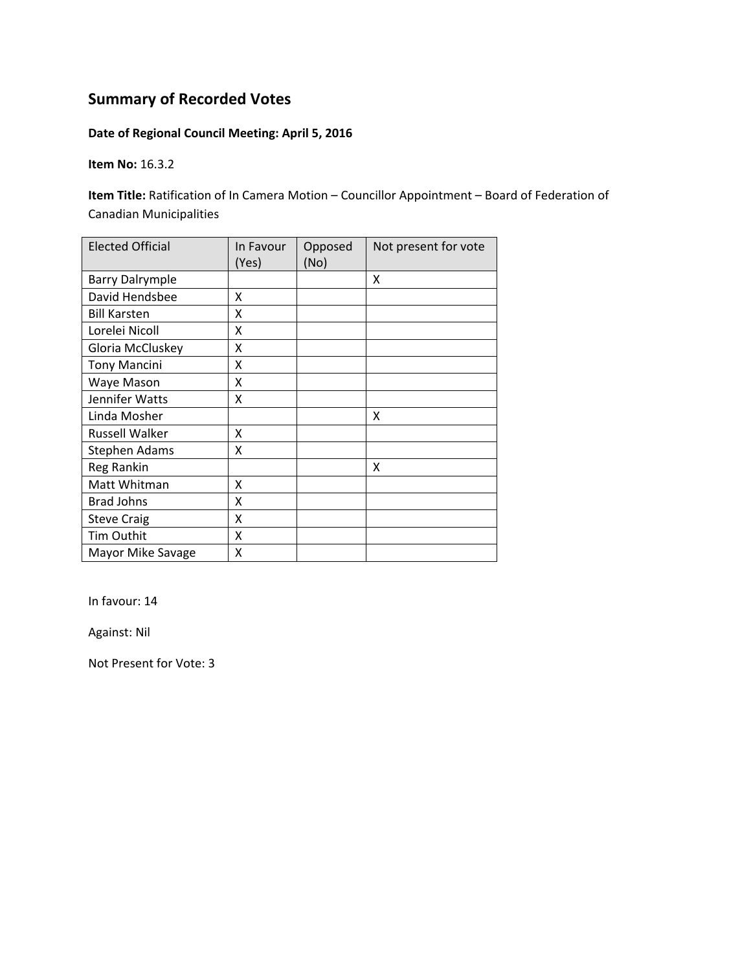#### **Date of Regional Council Meeting: April 5, 2016**

**Item No:** 16.3.2

**Item Title:** Ratification of In Camera Motion – Councillor Appointment – Board of Federation of Canadian Municipalities

| <b>Elected Official</b> | In Favour<br>(Yes) | Opposed<br>(No) | Not present for vote |
|-------------------------|--------------------|-----------------|----------------------|
| <b>Barry Dalrymple</b>  |                    |                 | X                    |
| David Hendsbee          | X                  |                 |                      |
| <b>Bill Karsten</b>     | X                  |                 |                      |
| Lorelei Nicoll          | X                  |                 |                      |
| Gloria McCluskey        | X                  |                 |                      |
| <b>Tony Mancini</b>     | X                  |                 |                      |
| Waye Mason              | Χ                  |                 |                      |
| Jennifer Watts          | X                  |                 |                      |
| Linda Mosher            |                    |                 | X                    |
| <b>Russell Walker</b>   | X                  |                 |                      |
| Stephen Adams           | X                  |                 |                      |
| Reg Rankin              |                    |                 | X                    |
| Matt Whitman            | X                  |                 |                      |
| <b>Brad Johns</b>       | X                  |                 |                      |
| <b>Steve Craig</b>      | X                  |                 |                      |
| Tim Outhit              | X                  |                 |                      |
| Mayor Mike Savage       | Χ                  |                 |                      |

In favour: 14

Against: Nil